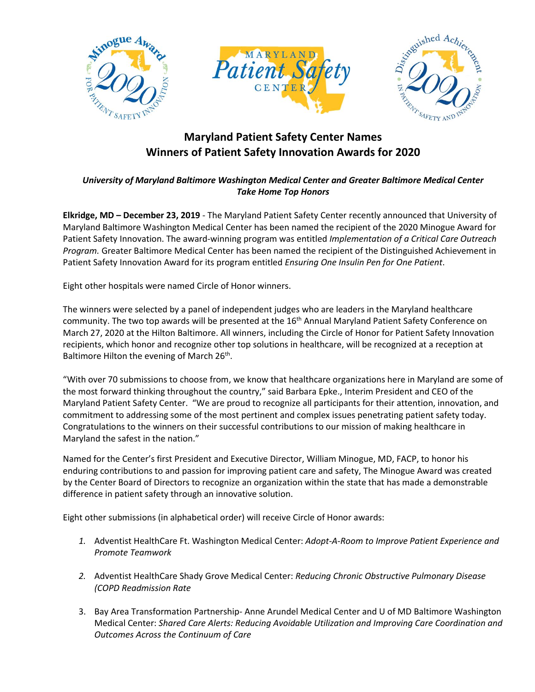





## **Maryland Patient Safety Center Names Winners of Patient Safety Innovation Awards for 2020**

## *University of Maryland Baltimore Washington Medical Center and Greater Baltimore Medical Center Take Home Top Honors*

**Elkridge, MD – December 23, 2019** - The Maryland Patient Safety Center recently announced that University of Maryland Baltimore Washington Medical Center has been named the recipient of the 2020 Minogue Award for Patient Safety Innovation. The award-winning program was entitled *Implementation of a Critical Care Outreach Program.* Greater Baltimore Medical Center has been named the recipient of the Distinguished Achievement in Patient Safety Innovation Award for its program entitled *Ensuring One Insulin Pen for One Patient*.

Eight other hospitals were named Circle of Honor winners.

The winners were selected by a panel of independent judges who are leaders in the Maryland healthcare community. The two top awards will be presented at the 16<sup>th</sup> Annual Maryland Patient Safety Conference on March 27, 2020 at the Hilton Baltimore. All winners, including the Circle of Honor for Patient Safety Innovation recipients, which honor and recognize other top solutions in healthcare, will be recognized at a reception at Baltimore Hilton the evening of March 26<sup>th</sup>.

"With over 70 submissions to choose from, we know that healthcare organizations here in Maryland are some of the most forward thinking throughout the country," said Barbara Epke., Interim President and CEO of the Maryland Patient Safety Center. "We are proud to recognize all participants for their attention, innovation, and commitment to addressing some of the most pertinent and complex issues penetrating patient safety today. Congratulations to the winners on their successful contributions to our mission of making healthcare in Maryland the safest in the nation."

Named for the Center's first President and Executive Director, William Minogue, MD, FACP, to honor his enduring contributions to and passion for improving patient care and safety, The Minogue Award was created by the Center Board of Directors to recognize an organization within the state that has made a demonstrable difference in patient safety through an innovative solution.

Eight other submissions (in alphabetical order) will receive Circle of Honor awards:

- *1.* Adventist HealthCare Ft. Washington Medical Center: *Adopt-A-Room to Improve Patient Experience and Promote Teamwork*
- *2.* Adventist HealthCare Shady Grove Medical Center: *Reducing Chronic Obstructive Pulmonary Disease (COPD Readmission Rate*
- 3. Bay Area Transformation Partnership- Anne Arundel Medical Center and U of MD Baltimore Washington Medical Center: *Shared Care Alerts: Reducing Avoidable Utilization and Improving Care Coordination and Outcomes Across the Continuum of Care*